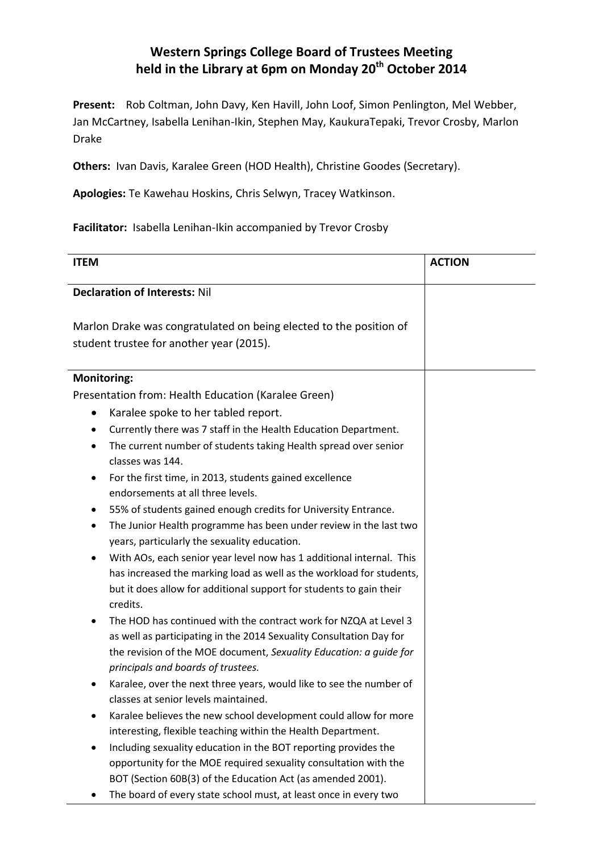## **Western Springs College Board of Trustees Meeting held in the Library at 6pm on Monday 20th October 2014**

**Present:** Rob Coltman, John Davy, Ken Havill, John Loof, Simon Penlington, Mel Webber, Jan McCartney, Isabella Lenihan-Ikin, Stephen May, KaukuraTepaki, Trevor Crosby, Marlon Drake

**Others:** Ivan Davis, Karalee Green (HOD Health), Christine Goodes (Secretary).

**Apologies:** Te Kawehau Hoskins, Chris Selwyn, Tracey Watkinson.

**Facilitator:** Isabella Lenihan-Ikin accompanied by Trevor Crosby

| <b>ITEM</b>                                                                  | <b>ACTION</b> |
|------------------------------------------------------------------------------|---------------|
| <b>Declaration of Interests: Nil</b>                                         |               |
|                                                                              |               |
| Marlon Drake was congratulated on being elected to the position of           |               |
| student trustee for another year (2015).                                     |               |
|                                                                              |               |
| <b>Monitoring:</b>                                                           |               |
| Presentation from: Health Education (Karalee Green)                          |               |
| Karalee spoke to her tabled report.<br>$\bullet$                             |               |
| Currently there was 7 staff in the Health Education Department.<br>٠         |               |
| The current number of students taking Health spread over senior<br>$\bullet$ |               |
| classes was 144.                                                             |               |
| For the first time, in 2013, students gained excellence                      |               |
| endorsements at all three levels.                                            |               |
| 55% of students gained enough credits for University Entrance.<br>٠          |               |
| The Junior Health programme has been under review in the last two<br>٠       |               |
| years, particularly the sexuality education.                                 |               |
| With AOs, each senior year level now has 1 additional internal. This         |               |
| has increased the marking load as well as the workload for students,         |               |
| but it does allow for additional support for students to gain their          |               |
| credits.                                                                     |               |
| The HOD has continued with the contract work for NZQA at Level 3<br>٠        |               |
| as well as participating in the 2014 Sexuality Consultation Day for          |               |
| the revision of the MOE document, Sexuality Education: a guide for           |               |
| principals and boards of trustees.                                           |               |
| Karalee, over the next three years, would like to see the number of          |               |
| classes at senior levels maintained.                                         |               |
| Karalee believes the new school development could allow for more             |               |
| interesting, flexible teaching within the Health Department.                 |               |
| Including sexuality education in the BOT reporting provides the              |               |
| opportunity for the MOE required sexuality consultation with the             |               |
| BOT (Section 60B(3) of the Education Act (as amended 2001).                  |               |
| The board of every state school must, at least once in every two             |               |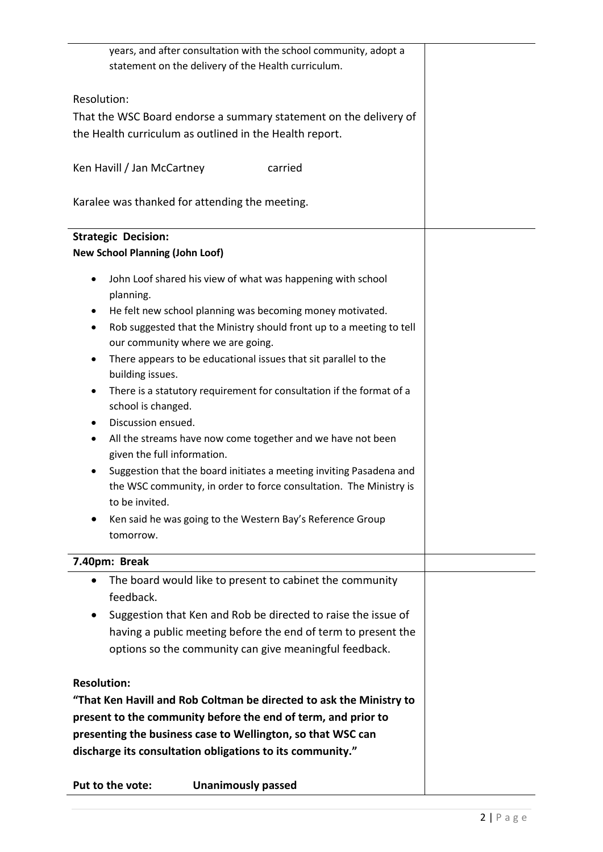| years, and after consultation with the school community, adopt a<br>statement on the delivery of the Health curriculum.              |
|--------------------------------------------------------------------------------------------------------------------------------------|
| Resolution:                                                                                                                          |
| That the WSC Board endorse a summary statement on the delivery of                                                                    |
| the Health curriculum as outlined in the Health report.                                                                              |
| Ken Havill / Jan McCartney<br>carried                                                                                                |
| Karalee was thanked for attending the meeting.                                                                                       |
| <b>Strategic Decision:</b>                                                                                                           |
| <b>New School Planning (John Loof)</b>                                                                                               |
| John Loof shared his view of what was happening with school<br>planning.                                                             |
| He felt new school planning was becoming money motivated.<br>٠                                                                       |
| Rob suggested that the Ministry should front up to a meeting to tell<br>our community where we are going.                            |
| There appears to be educational issues that sit parallel to the<br>٠                                                                 |
| building issues.                                                                                                                     |
| There is a statutory requirement for consultation if the format of a<br>٠                                                            |
| school is changed.                                                                                                                   |
| Discussion ensued.                                                                                                                   |
| All the streams have now come together and we have not been<br>٠<br>given the full information.                                      |
| Suggestion that the board initiates a meeting inviting Pasadena and                                                                  |
| the WSC community, in order to force consultation. The Ministry is                                                                   |
| to be invited.                                                                                                                       |
| Ken said he was going to the Western Bay's Reference Group                                                                           |
| tomorrow.                                                                                                                            |
| 7.40pm: Break                                                                                                                        |
| The board would like to present to cabinet the community<br>$\bullet$                                                                |
| feedback.                                                                                                                            |
| Suggestion that Ken and Rob be directed to raise the issue of<br>$\bullet$                                                           |
| having a public meeting before the end of term to present the                                                                        |
| options so the community can give meaningful feedback.                                                                               |
| <b>Resolution:</b>                                                                                                                   |
|                                                                                                                                      |
| "That Ken Havill and Rob Coltman be directed to ask the Ministry to<br>present to the community before the end of term, and prior to |
| presenting the business case to Wellington, so that WSC can                                                                          |
| discharge its consultation obligations to its community."                                                                            |
|                                                                                                                                      |

**Put to the vote: Unanimously passed**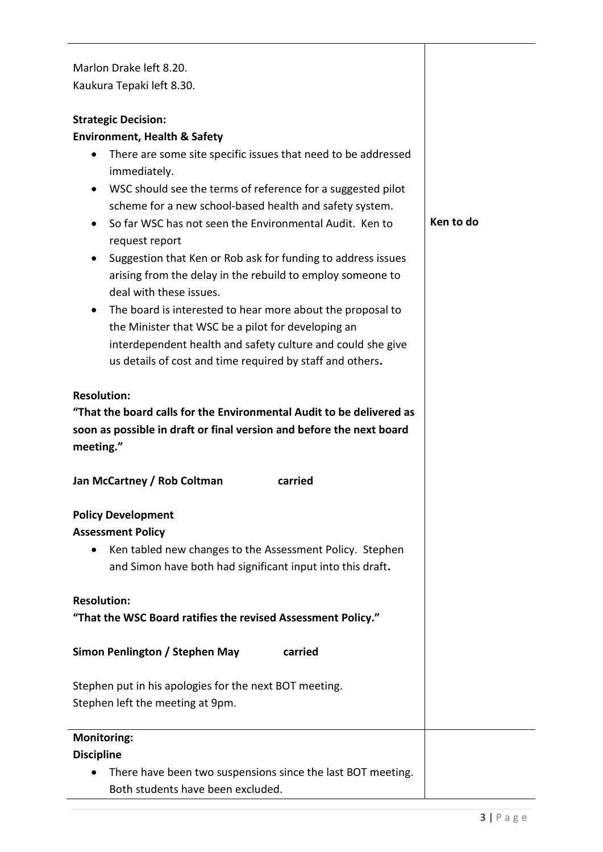| Marlon Drake left 8.20.<br>Kaukura Tepaki left 8.30.                                                                                                                                                                                                                                                                                                                                                                                                                                                                                                                                                                                                                                                                                                                                                                       |           |
|----------------------------------------------------------------------------------------------------------------------------------------------------------------------------------------------------------------------------------------------------------------------------------------------------------------------------------------------------------------------------------------------------------------------------------------------------------------------------------------------------------------------------------------------------------------------------------------------------------------------------------------------------------------------------------------------------------------------------------------------------------------------------------------------------------------------------|-----------|
| <b>Strategic Decision:</b><br><b>Environment, Health &amp; Safety</b><br>There are some site specific issues that need to be addressed<br>$\bullet$<br>immediately.<br>WSC should see the terms of reference for a suggested pilot<br>$\bullet$<br>scheme for a new school-based health and safety system.<br>So far WSC has not seen the Environmental Audit. Ken to<br>$\bullet$<br>request report<br>Suggestion that Ken or Rob ask for funding to address issues<br>arising from the delay in the rebuild to employ someone to<br>deal with these issues.<br>The board is interested to hear more about the proposal to<br>$\bullet$<br>the Minister that WSC be a pilot for developing an<br>interdependent health and safety culture and could she give<br>us details of cost and time required by staff and others. | Ken to do |
| <b>Resolution:</b><br>"That the board calls for the Environmental Audit to be delivered as<br>soon as possible in draft or final version and before the next board<br>meeting."                                                                                                                                                                                                                                                                                                                                                                                                                                                                                                                                                                                                                                            |           |
| Jan McCartney / Rob Coltman<br>carried                                                                                                                                                                                                                                                                                                                                                                                                                                                                                                                                                                                                                                                                                                                                                                                     |           |
| <b>Policy Development</b><br><b>Assessment Policy</b><br>Ken tabled new changes to the Assessment Policy. Stephen<br>$\bullet$<br>and Simon have both had significant input into this draft.                                                                                                                                                                                                                                                                                                                                                                                                                                                                                                                                                                                                                               |           |
| <b>Resolution:</b><br>"That the WSC Board ratifies the revised Assessment Policy."                                                                                                                                                                                                                                                                                                                                                                                                                                                                                                                                                                                                                                                                                                                                         |           |
| Simon Penlington / Stephen May<br>carried                                                                                                                                                                                                                                                                                                                                                                                                                                                                                                                                                                                                                                                                                                                                                                                  |           |
| Stephen put in his apologies for the next BOT meeting.<br>Stephen left the meeting at 9pm.                                                                                                                                                                                                                                                                                                                                                                                                                                                                                                                                                                                                                                                                                                                                 |           |
| <b>Monitoring:</b><br><b>Discipline</b><br>There have been two suspensions since the last BOT meeting.<br>Both students have been excluded.                                                                                                                                                                                                                                                                                                                                                                                                                                                                                                                                                                                                                                                                                |           |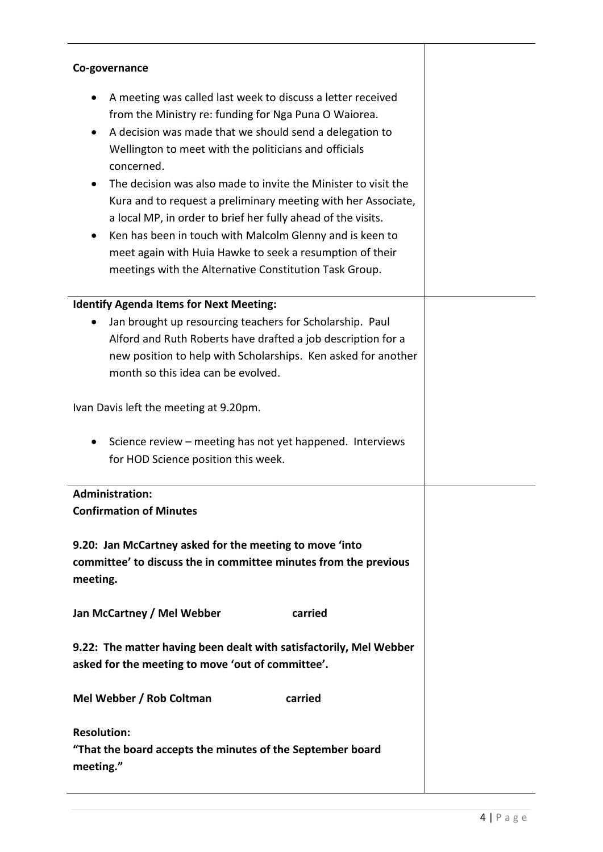| Co-governance                                                                                                                                                                                                                                                                                                                                                                                                                                                                                                                                                                                                                               |  |
|---------------------------------------------------------------------------------------------------------------------------------------------------------------------------------------------------------------------------------------------------------------------------------------------------------------------------------------------------------------------------------------------------------------------------------------------------------------------------------------------------------------------------------------------------------------------------------------------------------------------------------------------|--|
| A meeting was called last week to discuss a letter received<br>from the Ministry re: funding for Nga Puna O Waiorea.<br>A decision was made that we should send a delegation to<br>Wellington to meet with the politicians and officials<br>concerned.<br>The decision was also made to invite the Minister to visit the<br>Kura and to request a preliminary meeting with her Associate,<br>a local MP, in order to brief her fully ahead of the visits.<br>Ken has been in touch with Malcolm Glenny and is keen to<br>meet again with Huia Hawke to seek a resumption of their<br>meetings with the Alternative Constitution Task Group. |  |
| <b>Identify Agenda Items for Next Meeting:</b>                                                                                                                                                                                                                                                                                                                                                                                                                                                                                                                                                                                              |  |
| Jan brought up resourcing teachers for Scholarship. Paul<br>Alford and Ruth Roberts have drafted a job description for a<br>new position to help with Scholarships. Ken asked for another<br>month so this idea can be evolved.                                                                                                                                                                                                                                                                                                                                                                                                             |  |
| Ivan Davis left the meeting at 9.20pm.                                                                                                                                                                                                                                                                                                                                                                                                                                                                                                                                                                                                      |  |
| Science review – meeting has not yet happened. Interviews<br>for HOD Science position this week.                                                                                                                                                                                                                                                                                                                                                                                                                                                                                                                                            |  |
| <b>Administration:</b><br><b>Confirmation of Minutes</b>                                                                                                                                                                                                                                                                                                                                                                                                                                                                                                                                                                                    |  |
| 9.20: Jan McCartney asked for the meeting to move 'into<br>committee' to discuss the in committee minutes from the previous<br>meeting.                                                                                                                                                                                                                                                                                                                                                                                                                                                                                                     |  |
| Jan McCartney / Mel Webber<br>carried                                                                                                                                                                                                                                                                                                                                                                                                                                                                                                                                                                                                       |  |
| 9.22: The matter having been dealt with satisfactorily, Mel Webber<br>asked for the meeting to move 'out of committee'.                                                                                                                                                                                                                                                                                                                                                                                                                                                                                                                     |  |
| Mel Webber / Rob Coltman<br>carried                                                                                                                                                                                                                                                                                                                                                                                                                                                                                                                                                                                                         |  |
| <b>Resolution:</b><br>"That the board accepts the minutes of the September board<br>meeting."                                                                                                                                                                                                                                                                                                                                                                                                                                                                                                                                               |  |